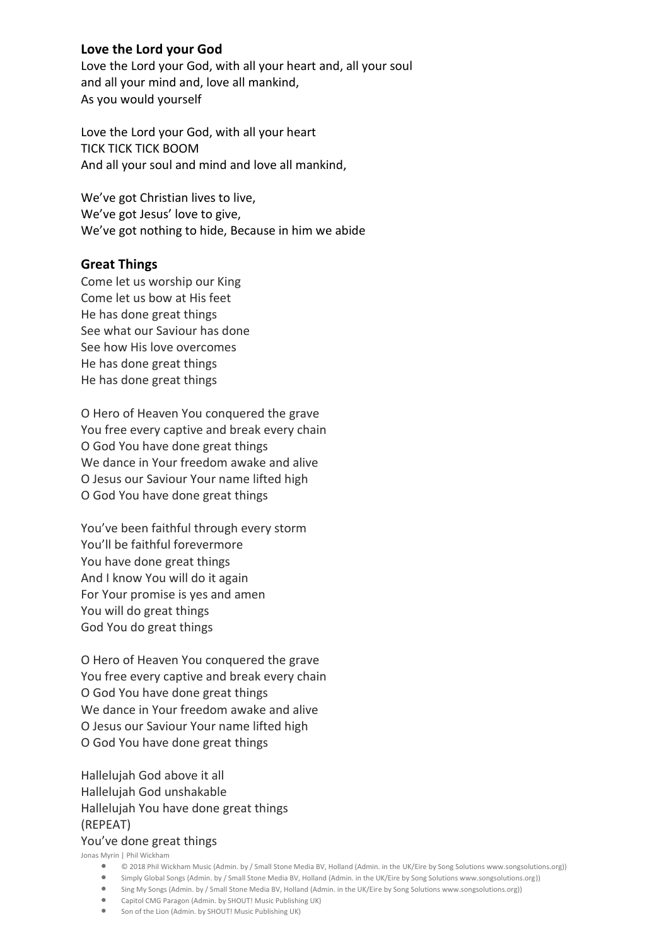# **Love the Lord your God**

Love the Lord your God, with all your heart and, all your soul and all your mind and, love all mankind, As you would yourself

Love the Lord your God, with all your heart TICK TICK TICK BOOM And all your soul and mind and love all mankind,

We've got Christian lives to live, We've got Jesus' love to give, We've got nothing to hide, Because in him we abide

#### **Great Things**

Come let us worship our King Come let us bow at His feet He has done great things See what our Saviour has done See how His love overcomes He has done great things He has done great things

O Hero of Heaven You conquered the grave You free every captive and break every chain O God You have done great things We dance in Your freedom awake and alive O Jesus our Saviour Your name lifted high O God You have done great things

You've been faithful through every storm You'll be faithful forevermore You have done great things And I know You will do it again For Your promise is yes and amen You will do great things God You do great things

O Hero of Heaven You conquered the grave You free every captive and break every chain O God You have done great things We dance in Your freedom awake and alive O Jesus our Saviour Your name lifted high O God You have done great things

Hallelujah God above it all Hallelujah God unshakable Hallelujah You have done great things (REPEAT)

#### You've done great things

Jonas Myrin | Phil Wickham

- © 2018 Phil Wickham Music (Admin. by / Small Stone Media BV, Holland (Admin. in the UK/Eire by Song Solutions www.songsolutions.org))
- Simply Global Songs (Admin. by / Small Stone Media BV, Holland (Admin. in the UK/Eire by Song Solutions www.songsolutions.org))
- Sing My Songs (Admin. by / Small Stone Media BV, Holland (Admin. in the UK/Eire by Song Solutions www.songsolutions.org))
- Capitol CMG Paragon (Admin. by SHOUT! Music Publishing UK)
- Son of the Lion (Admin. by SHOUT! Music Publishing UK)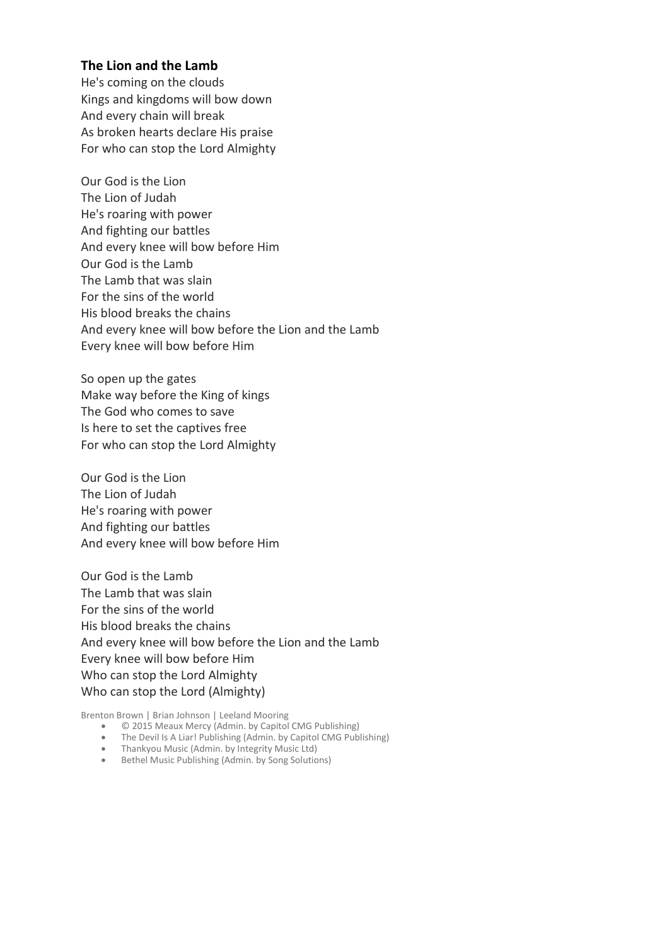# **The Lion and the Lamb**

He's coming on the clouds Kings and kingdoms will bow down And every chain will break As broken hearts declare His praise For who can stop the Lord Almighty

Our God is the Lion The Lion of Judah He's roaring with power And fighting our battles And every knee will bow before Him Our God is the Lamb The Lamb that was slain For the sins of the world His blood breaks the chains And every knee will bow before the Lion and the Lamb Every knee will bow before Him

So open up the gates Make way before the King of kings The God who comes to save Is here to set the captives free For who can stop the Lord Almighty

Our God is the Lion The Lion of Judah He's roaring with power And fighting our battles And every knee will bow before Him

Our God is the Lamb The Lamb that was slain For the sins of the world His blood breaks the chains And every knee will bow before the Lion and the Lamb Every knee will bow before Him Who can stop the Lord Almighty Who can stop the Lord (Almighty)

Brenton Brown | Brian Johnson | Leeland Mooring

- © 2015 Meaux Mercy (Admin. by Capitol CMG Publishing)
- The Devil Is A Liar! Publishing (Admin. by Capitol CMG Publishing)
- Thankyou Music (Admin. by Integrity Music Ltd)
- Thankyou was chainning with the song Solutions)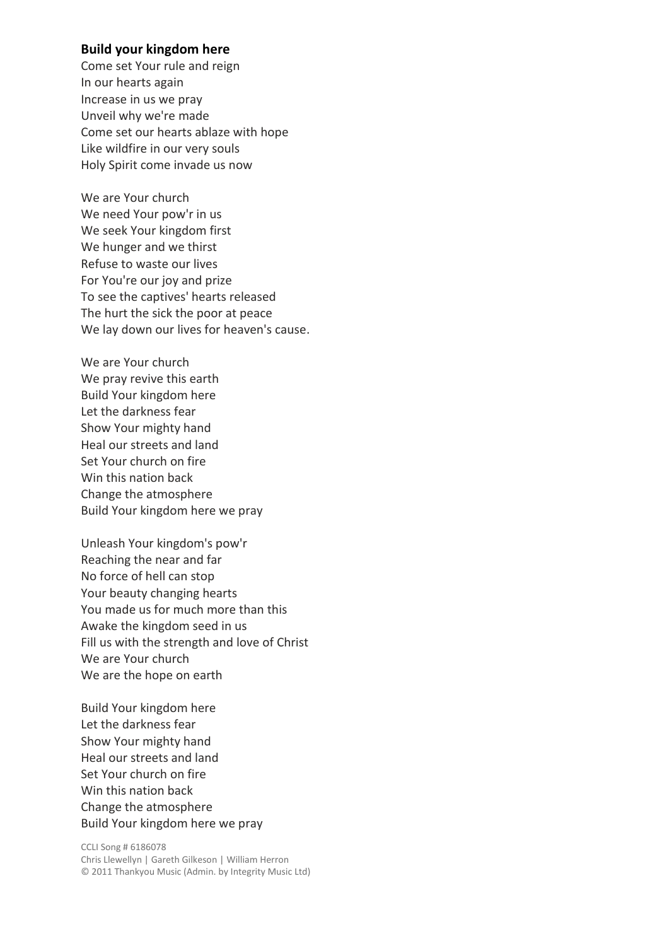## **Build your kingdom here**

Come set Your rule and reign In our hearts again Increase in us we pray Unveil why we're made Come set our hearts ablaze with hope Like wildfire in our very souls Holy Spirit come invade us now

We are Your church We need Your pow'r in us We seek Your kingdom first We hunger and we thirst Refuse to waste our lives For You're our joy and prize To see the captives' hearts released The hurt the sick the poor at peace We lay down our lives for heaven's cause.

We are Your church We pray revive this earth Build Your kingdom here Let the darkness fear Show Your mighty hand Heal our streets and land Set Your church on fire Win this nation back Change the atmosphere Build Your kingdom here we pray

Unleash Your kingdom's pow'r Reaching the near and far No force of hell can stop Your beauty changing hearts You made us for much more than this Awake the kingdom seed in us Fill us with the strength and love of Christ We are Your church We are the hope on earth

Build Your kingdom here Let the darkness fear Show Your mighty hand Heal our streets and land Set Your church on fire Win this nation back Change the atmosphere Build Your kingdom here we pray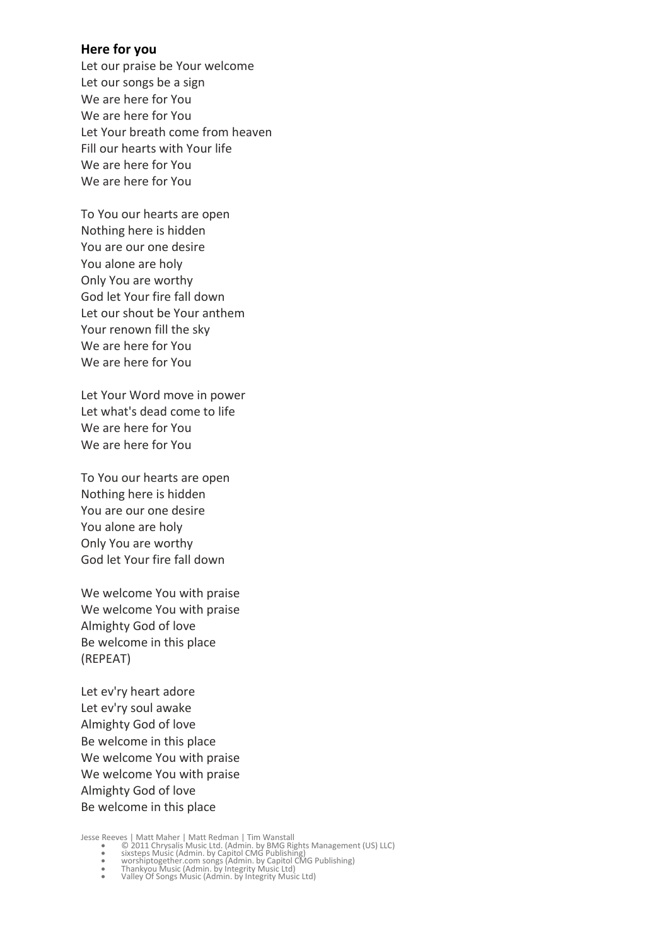#### **Here for you**

Let our praise be Your welcome Let our songs be a sign We are here for You We are here for You Let Your breath come from heaven Fill our hearts with Your life We are here for You We are here for You

To You our hearts are open Nothing here is hidden You are our one desire You alone are holy Only You are worthy God let Your fire fall down Let our shout be Your anthem Your renown fill the sky We are here for You We are here for You

Let Your Word move in power Let what's dead come to life We are here for You We are here for You

To You our hearts are open Nothing here is hidden You are our one desire You alone are holy Only You are worthy God let Your fire fall down

We welcome You with praise We welcome You with praise Almighty God of love Be welcome in this place (REPEAT)

Let ev'ry heart adore Let ev'ry soul awake Almighty God of love Be welcome in this place We welcome You with praise We welcome You with praise Almighty God of love Be welcome in this place

- Uesse Reeves | Matt Maher | Matt Redman | Tim Wanstall<br>
© 2011 Chrysalis Music Ltd. (Admin. by BMG Rights Management (US) LLC)<br>
sixsteps Music (Admin. by Capitol CMG Publishing)<br>
worshiptogether.com songs (Admin. by
	-
	-
	-